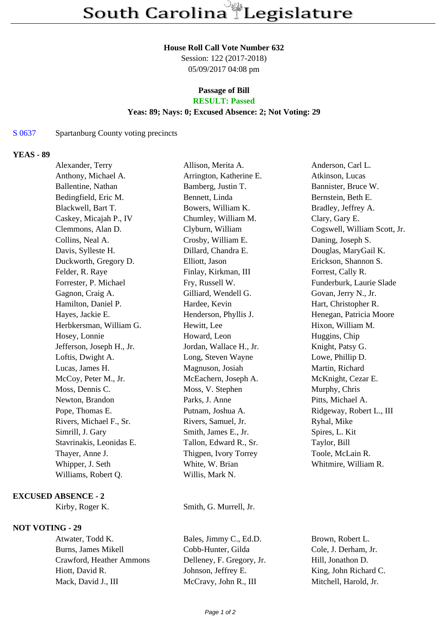#### **House Roll Call Vote Number 632**

Session: 122 (2017-2018) 05/09/2017 04:08 pm

# **Passage of Bill**

## **RESULT: Passed**

#### **Yeas: 89; Nays: 0; Excused Absence: 2; Not Voting: 29**

## S 0637 Spartanburg County voting precincts

## **YEAS - 89**

| Alexander, Terry          | Allison, Merita A.      | Anderson, Carl L.            |
|---------------------------|-------------------------|------------------------------|
| Anthony, Michael A.       | Arrington, Katherine E. | Atkinson, Lucas              |
| Ballentine, Nathan        | Bamberg, Justin T.      | Bannister, Bruce W.          |
| Bedingfield, Eric M.      | Bennett, Linda          | Bernstein, Beth E.           |
| Blackwell, Bart T.        | Bowers, William K.      | Bradley, Jeffrey A.          |
| Caskey, Micajah P., IV    | Chumley, William M.     | Clary, Gary E.               |
| Clemmons, Alan D.         | Clyburn, William        | Cogswell, William Scott, Jr. |
| Collins, Neal A.          | Crosby, William E.      | Daning, Joseph S.            |
| Davis, Sylleste H.        | Dillard, Chandra E.     | Douglas, MaryGail K.         |
| Duckworth, Gregory D.     | Elliott, Jason          | Erickson, Shannon S.         |
| Felder, R. Raye           | Finlay, Kirkman, III    | Forrest, Cally R.            |
| Forrester, P. Michael     | Fry, Russell W.         | Funderburk, Laurie Slade     |
| Gagnon, Craig A.          | Gilliard, Wendell G.    | Govan, Jerry N., Jr.         |
| Hamilton, Daniel P.       | Hardee, Kevin           | Hart, Christopher R.         |
| Hayes, Jackie E.          | Henderson, Phyllis J.   | Henegan, Patricia Moore      |
| Herbkersman, William G.   | Hewitt, Lee             | Hixon, William M.            |
| Hosey, Lonnie             | Howard, Leon            | Huggins, Chip                |
| Jefferson, Joseph H., Jr. | Jordan, Wallace H., Jr. | Knight, Patsy G.             |
| Loftis, Dwight A.         | Long, Steven Wayne      | Lowe, Phillip D.             |
| Lucas, James H.           | Magnuson, Josiah        | Martin, Richard              |
| McCoy, Peter M., Jr.      | McEachern, Joseph A.    | McKnight, Cezar E.           |
| Moss, Dennis C.           | Moss, V. Stephen        | Murphy, Chris                |
| Newton, Brandon           | Parks, J. Anne          | Pitts, Michael A.            |
| Pope, Thomas E.           | Putnam, Joshua A.       | Ridgeway, Robert L., III     |
| Rivers, Michael F., Sr.   | Rivers, Samuel, Jr.     | Ryhal, Mike                  |
| Simrill, J. Gary          | Smith, James E., Jr.    | Spires, L. Kit               |
| Stavrinakis, Leonidas E.  | Tallon, Edward R., Sr.  | Taylor, Bill                 |
| Thayer, Anne J.           | Thigpen, Ivory Torrey   | Toole, McLain R.             |
| Whipper, J. Seth          | White, W. Brian         | Whitmire, William R.         |
| Williams, Robert Q.       | Willis, Mark N.         |                              |
|                           |                         |                              |

#### **EXCUSED ABSENCE - 2**

#### **NOT VOTING - 29**

Burns, James Mikell Cobb-Hunter, Gilda Cole, J. Derham, Jr. Crawford, Heather Ammons Delleney, F. Gregory, Jr. Hill, Jonathon D. Hiott, David R. Johnson, Jeffrey E. King, John Richard C. Mack, David J., III McCravy, John R., III Mitchell, Harold, Jr.

Kirby, Roger K. Smith, G. Murrell, Jr.

Atwater, Todd K. Bales, Jimmy C., Ed.D. Brown, Robert L.